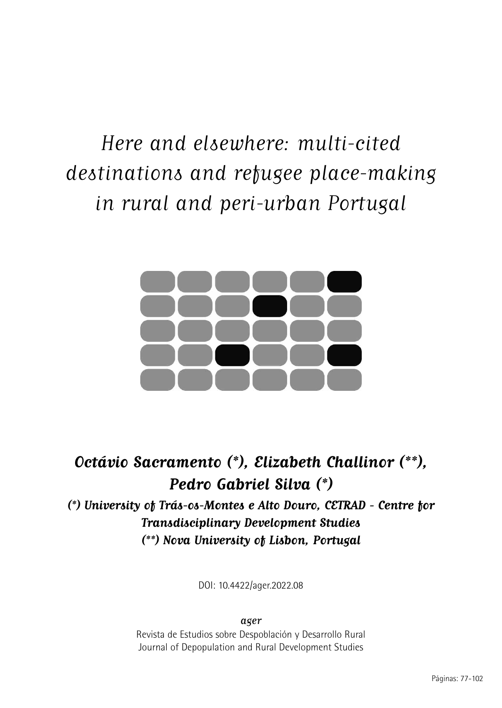# Here and elsewhere: multi-cited destinations and refugee place-making in rural and peri-urban Portugal



# **Octávio Sacramento (\*), Elizabeth Challinor (\*\*), Pedro Gabriel Silva (\*) (\*) University of Trás-os-Montes e Alto Douro, CETRAD - Centre for Transdisciplinary Development Studies (\*\*) Nova University of Lisbon, Portugal**

DOI: 10.4422/ager.2022.08

ager

Revista de Estudios sobre Despoblación y Desarrollo Rural Journal of Depopulation and Rural Development Studies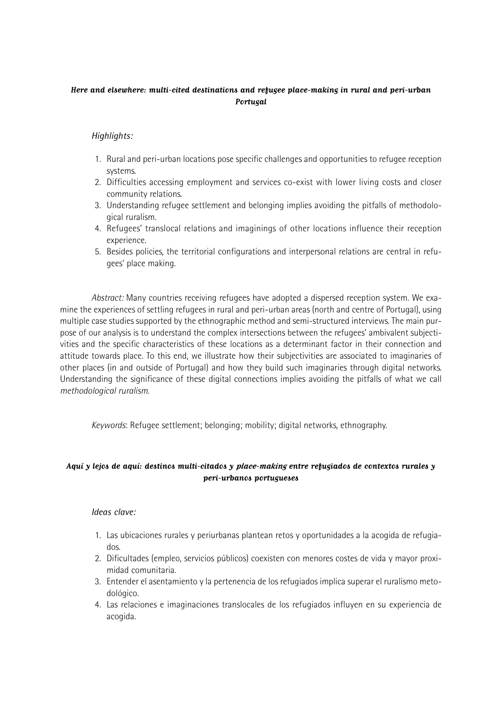### **Here and elsewhere: multi-cited destinations and refugee place-making in rural and peri-urban Portugal**

### *Highlights:*

- 1. Rural and peri-urban locations pose specific challenges and opportunities to refugee reception systems.
- 2. Difficulties accessing employment and services co-exist with lower living costs and closer community relations.
- 3. Understanding refugee settlement and belonging implies avoiding the pitfalls of methodological ruralism.
- 4. Refugees' translocal relations and imaginings of other locations influence their reception experience.
- 5. Besides policies, the territorial configurations and interpersonal relations are central in refugees' place making.

*Abstract:* Many countries receiving refugees have adopted a dispersed reception system. We examine the experiences of settling refugees in rural and peri-urban areas (north and centre of Portugal), using multiple case studies supported by the ethnographic method and semi-structured interviews. The main purpose of our analysis is to understand the complex intersections between the refugees' ambivalent subjectivities and the specific characteristics of these locations as a determinant factor in their connection and attitude towards place. To this end, we illustrate how their subjectivities are associated to imaginaries of other places (in and outside of Portugal) and how they build such imaginaries through digital networks. Understanding the significance of these digital connections implies avoiding the pitfalls of what we call *methodological ruralism*.

*Keywords*: Refugee settlement; belonging; mobility; digital networks, ethnography.

#### **Aquí y lejos de aquí: destinos multi-citados y place-making entre refugiados de contextos rurales y peri-urbanos portugueses**

#### *Ideas clave:*

- 1. Las ubicaciones rurales y periurbanas plantean retos y oportunidades a la acogida de refugiados.
- 2. Dificultades (empleo, servicios públicos) coexisten con menores costes de vida y mayor proximidad comunitaria.
- 3. Entender el asentamiento y la pertenencia de los refugiados implica superar el ruralismo metodológico.
- 4. Las relaciones e imaginaciones translocales de los refugiados influyen en su experiencia de acogida.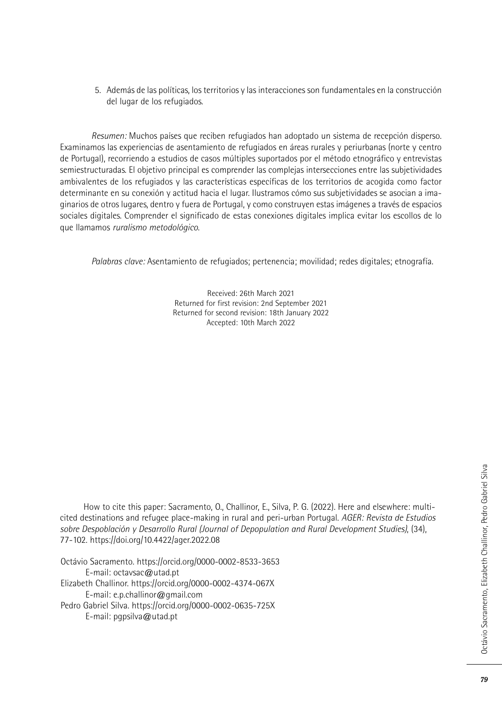5. Además de las políticas, los territorios y las interacciones son fundamentales en la construcción del lugar de los refugiados.

*Resumen:* Muchos países que reciben refugiados han adoptado un sistema de recepción disperso. Examinamos las experiencias de asentamiento de refugiados en áreas rurales y periurbanas (norte y centro de Portugal), recorriendo a estudios de casos múltiples suportados por el método etnográfico y entrevistas semiestructuradas. El objetivo principal es comprender las complejas intersecciones entre las subjetividades ambivalentes de los refugiados y las características específicas de los territorios de acogida como factor determinante en su conexión y actitud hacia el lugar. Ilustramos cómo sus subjetividades se asocian a imaginarios de otros lugares, dentro y fuera de Portugal, y como construyen estas imágenes a través de espacios sociales digitales. Comprender el significado de estas conexiones digitales implica evitar los escollos de lo que llamamos *ruralismo metodológico*.

*Palabras clave:* Asentamiento de refugiados; pertenencia; movilidad; redes digitales; etnografía.

Received: 26th March 2021 Returned for first revision: 2nd September 2021 Returned for second revision: 18th January 2022 Accepted: 10th March 2022

How to cite this paper: Sacramento, O., Challinor, E., Silva, P. G. (2022). Here and elsewhere: multicited destinations and refugee place-making in rural and peri-urban Portugal. *AGER: Revista de Estudios sobre Despoblación y Desarrollo Rural (Journal of Depopulation and Rural Development Studies)*, (34), 77-102. https://doi.org/10.4422/ager.2022.08

Octávio Sacramento. https://orcid.org/0000-0002-8533-3653 E-mail: octavsac@utad.pt Elizabeth Challinor. https://orcid.org/0000-0002-4374-067X E-mail: e.p.challinor@gmail.com Pedro Gabriel Silva. https://orcid.org/0000-0002-0635-725X E-mail: pgpsilva@utad.pt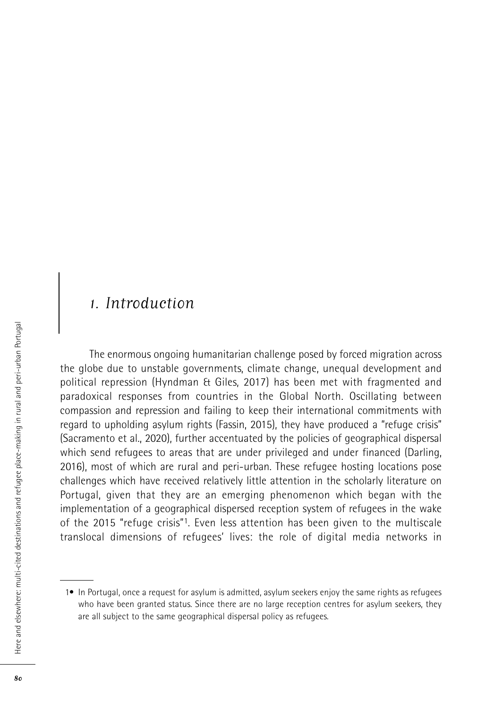### 1. Introduction

The enormous ongoing humanitarian challenge posed by forced migration across the globe due to unstable governments, climate change, unequal development and political repression (Hyndman & Giles, 2017) has been met with fragmented and paradoxical responses from countries in the Global North. Oscillating between compassion and repression and failing to keep their international commitments with regard to upholding asylum rights (Fassin, 2015), they have produced a "refuge crisis" (Sacramento et al., 2020), further accentuated by the policies of geographical dispersal which send refugees to areas that are under privileged and under financed (Darling, 2016), most of which are rural and peri-urban. These refugee hosting locations pose challenges which have received relatively little attention in the scholarly literature on Portugal, given that they are an emerging phenomenon which began with the implementation of a geographical dispersed reception system of refugees in the wake of the 2015 "refuge crisis"1. Even less attention has been given to the multiscale translocal dimensions of refugees' lives: the role of digital media networks in

 <sup>1•</sup> In Portugal, once a request for asylum is admitted, asylum seekers enjoy the same rights as refugees who have been granted status. Since there are no large reception centres for asylum seekers, they are all subject to the same geographical dispersal policy as refugees.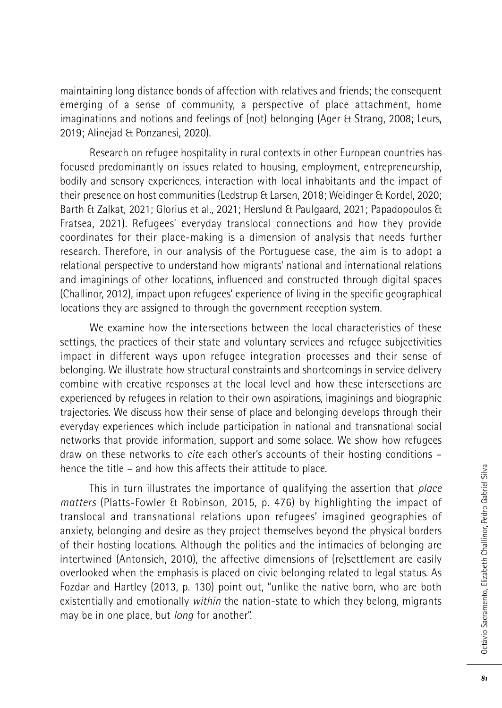maintaining long distance bonds of affection with relatives and friends; the consequent emerging of a sense of community, a perspective of place attachment, home imaginations and notions and feelings of (not) belonging (Ager & Strang, 2008; Leurs, 2019; Alinejad & Ponzanesi, 2020).

Research on refugee hospitality in rural contexts in other European countries has focused predominantly on issues related to housing, employment, entrepreneurship, bodily and sensory experiences, interaction with local inhabitants and the impact of their presence on host communities (Ledstrup & Larsen, 2018; Weidinger & Kordel, 2020; Barth & Zalkat, 2021; Glorius et al., 2021; Herslund & Paulgaard, 2021; Papadopoulos & Fratsea, 2021). Refugees' everyday translocal connections and how they provide coordinates for their place-making is a dimension of analysis that needs further research. Therefore, in our analysis of the Portuguese case, the aim is to adopt a relational perspective to understand how migrants' national and international relations and imaginings of other locations, influenced and constructed through digital spaces (Challinor, 2012), impact upon refugees' experience of living in the specific geographical locations they are assigned to through the government reception system.

We examine how the intersections between the local characteristics of these settings, the practices of their state and voluntary services and refugee subjectivities impact in different ways upon refugee integration processes and their sense of belonging. We illustrate how structural constraints and shortcomings in service delivery combine with creative responses at the local level and how these intersections are experienced by refugees in relation to their own aspirations, imaginings and biographic trajectories. We discuss how their sense of place and belonging develops through their everyday experiences which include participation in national and transnational social networks that provide information, support and some solace. We show how refugees draw on these networks to *cite* each other's accounts of their hosting conditions – hence the title – and how this affects their attitude to place.

This in turn illustrates the importance of qualifying the assertion that *place matters* (Platts-Fowler & Robinson, 2015, p. 476) by highlighting the impact of translocal and transnational relations upon refugees' imagined geographies of anxiety, belonging and desire as they project themselves beyond the physical borders of their hosting locations. Although the politics and the intimacies of belonging are intertwined (Antonsich, 2010), the affective dimensions of (re)settlement are easily overlooked when the emphasis is placed on civic belonging related to legal status. As Fozdar and Hartley (2013, p. 130) point out, "unlike the native born, who are both existentially and emotionally *within* the nation-state to which they belong, migrants may be in one place, but *long* for another".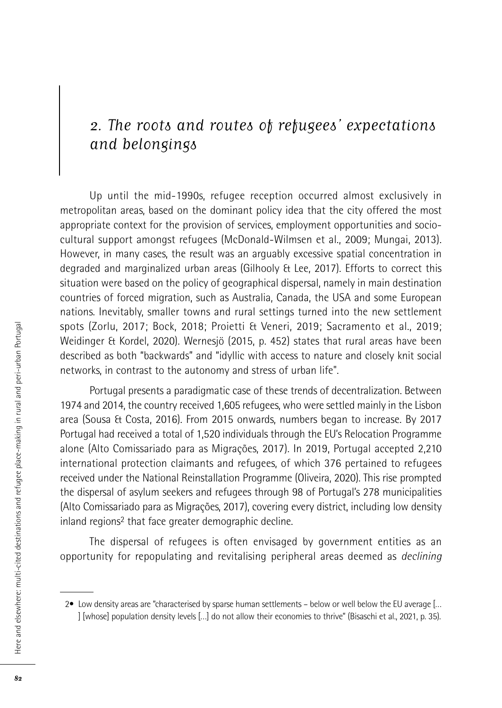### 2. The roots and routes of refugees' expectations and belongings

Up until the mid-1990s, refugee reception occurred almost exclusively in metropolitan areas, based on the dominant policy idea that the city offered the most appropriate context for the provision of services, employment opportunities and sociocultural support amongst refugees (McDonald-Wilmsen et al., 2009; Mungai, 2013). However, in many cases, the result was an arguably excessive spatial concentration in degraded and marginalized urban areas (Gilhooly & Lee, 2017). Efforts to correct this situation were based on the policy of geographical dispersal, namely in main destination countries of forced migration, such as Australia, Canada, the USA and some European nations. Inevitably, smaller towns and rural settings turned into the new settlement spots (Zorlu, 2017; Bock, 2018; Proietti & Veneri, 2019; Sacramento et al., 2019; Weidinger & Kordel, 2020). Wernesjö (2015, p. 452) states that rural areas have been described as both "backwards" and "idyllic with access to nature and closely knit social networks, in contrast to the autonomy and stress of urban life".

Portugal presents a paradigmatic case of these trends of decentralization. Between 1974 and 2014, the country received 1,605 refugees, who were settled mainly in the Lisbon area (Sousa & Costa, 2016). From 2015 onwards, numbers began to increase. By 2017 Portugal had received a total of 1,520 individuals through the EU's Relocation Programme alone (Alto Comissariado para as Migrações, 2017). In 2019, Portugal accepted 2,210 international protection claimants and refugees, of which 376 pertained to refugees received under the National Reinstallation Programme (Oliveira, 2020). This rise prompted the dispersal of asylum seekers and refugees through 98 of Portugal's 278 municipalities (Alto Comissariado para as Migrações, 2017), covering every district, including low density inland regions2 that face greater demographic decline.

The dispersal of refugees is often envisaged by government entities as an opportunity for repopulating and revitalising peripheral areas deemed as *declining*

 <sup>2•</sup> Low density areas are "characterised by sparse human settlements – below or well below the EU average [… ] [whose] population density levels […] do not allow their economies to thrive" (Bisaschi et al., 2021, p. 35).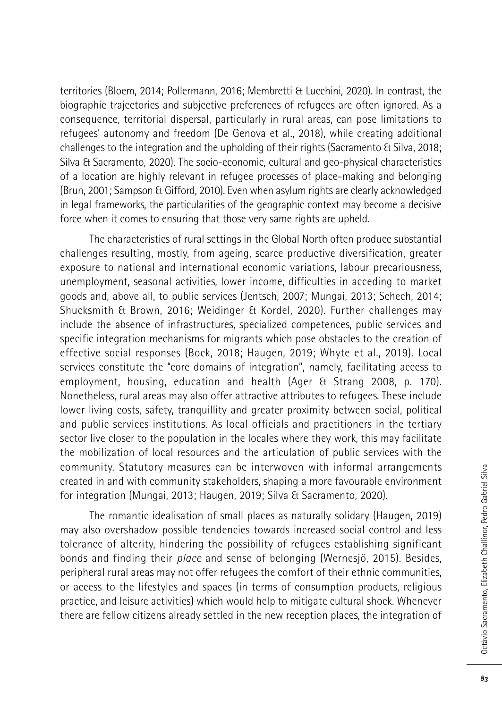territories (Bloem, 2014; Pollermann, 2016; Membretti & Lucchini, 2020). In contrast, the biographic trajectories and subjective preferences of refugees are often ignored. As a consequence, territorial dispersal, particularly in rural areas, can pose limitations to refugees' autonomy and freedom (De Genova et al., 2018), while creating additional challenges to the integration and the upholding of their rights (Sacramento & Silva, 2018; Silva & Sacramento, 2020). The socio-economic, cultural and geo-physical characteristics of a location are highly relevant in refugee processes of place-making and belonging (Brun, 2001; Sampson & Gifford, 2010). Even when asylum rights are clearly acknowledged in legal frameworks, the particularities of the geographic context may become a decisive force when it comes to ensuring that those very same rights are upheld.

The characteristics of rural settings in the Global North often produce substantial challenges resulting, mostly, from ageing, scarce productive diversification, greater exposure to national and international economic variations, labour precariousness, unemployment, seasonal activities, lower income, difficulties in acceding to market goods and, above all, to public services (Jentsch, 2007; Mungai, 2013; Schech, 2014; Shucksmith & Brown, 2016; Weidinger & Kordel, 2020). Further challenges may include the absence of infrastructures, specialized competences, public services and specific integration mechanisms for migrants which pose obstacles to the creation of effective social responses (Bock, 2018; Haugen, 2019; Whyte et al., 2019). Local services constitute the "core domains of integration", namely, facilitating access to employment, housing, education and health (Ager & Strang 2008, p. 170). Nonetheless, rural areas may also offer attractive attributes to refugees. These include lower living costs, safety, tranquillity and greater proximity between social, political and public services institutions. As local officials and practitioners in the tertiary sector live closer to the population in the locales where they work, this may facilitate the mobilization of local resources and the articulation of public services with the community. Statutory measures can be interwoven with informal arrangements created in and with community stakeholders, shaping a more favourable environment for integration (Mungai, 2013; Haugen, 2019; Silva & Sacramento, 2020).

The romantic idealisation of small places as naturally solidary (Haugen, 2019) may also overshadow possible tendencies towards increased social control and less tolerance of alterity, hindering the possibility of refugees establishing significant bonds and finding their *place* and sense of belonging (Wernesjö, 2015). Besides, peripheral rural areas may not offer refugees the comfort of their ethnic communities, or access to the lifestyles and spaces (in terms of consumption products, religious practice, and leisure activities) which would help to mitigate cultural shock. Whenever there are fellow citizens already settled in the new reception places, the integration of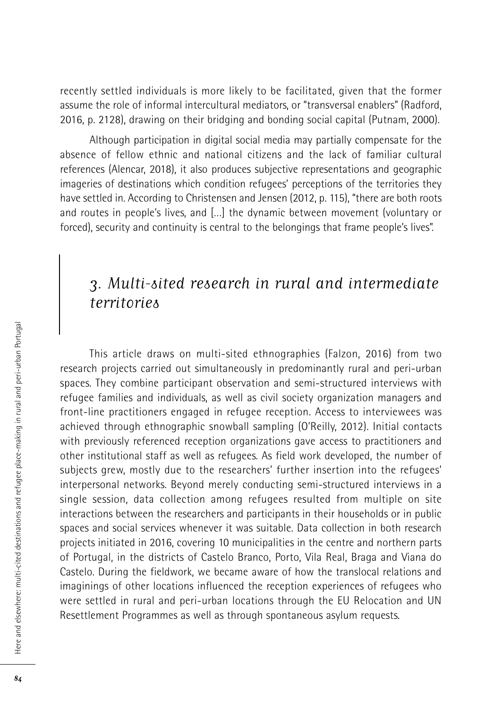recently settled individuals is more likely to be facilitated, given that the former assume the role of informal intercultural mediators, or "transversal enablers" (Radford, 2016, p. 2128), drawing on their bridging and bonding social capital (Putnam, 2000).

Although participation in digital social media may partially compensate for the absence of fellow ethnic and national citizens and the lack of familiar cultural references (Alencar, 2018), it also produces subjective representations and geographic imageries of destinations which condition refugees' perceptions of the territories they have settled in. According to Christensen and Jensen (2012, p. 115), "there are both roots and routes in people's lives, and […] the dynamic between movement (voluntary or forced), security and continuity is central to the belongings that frame people's lives".

### 3. Multi-sited research in rural and intermediate territories

This article draws on multi-sited ethnographies (Falzon, 2016) from two research projects carried out simultaneously in predominantly rural and peri-urban spaces. They combine participant observation and semi-structured interviews with refugee families and individuals, as well as civil society organization managers and front-line practitioners engaged in refugee reception. Access to interviewees was achieved through ethnographic snowball sampling (O'Reilly, 2012). Initial contacts with previously referenced reception organizations gave access to practitioners and other institutional staff as well as refugees. As field work developed, the number of subjects grew, mostly due to the researchers' further insertion into the refugees' interpersonal networks. Beyond merely conducting semi-structured interviews in a single session, data collection among refugees resulted from multiple on site interactions between the researchers and participants in their households or in public spaces and social services whenever it was suitable. Data collection in both research projects initiated in 2016, covering 10 municipalities in the centre and northern parts of Portugal, in the districts of Castelo Branco, Porto, Vila Real, Braga and Viana do Castelo. During the fieldwork, we became aware of how the translocal relations and imaginings of other locations influenced the reception experiences of refugees who were settled in rural and peri-urban locations through the EU Relocation and UN Resettlement Programmes as well as through spontaneous asylum requests.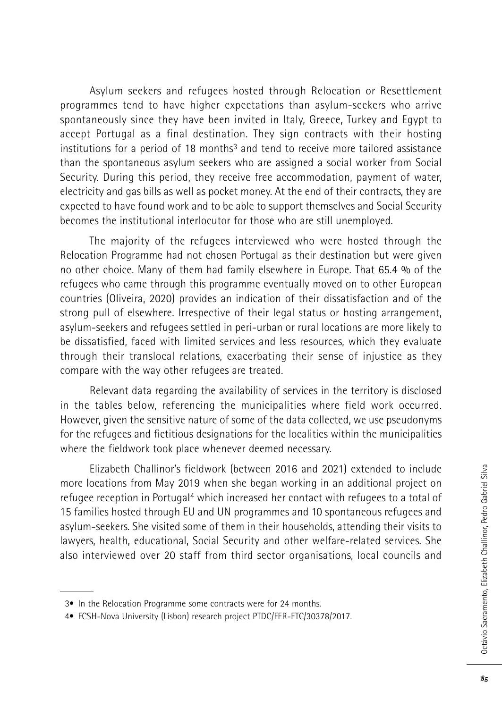Asylum seekers and refugees hosted through Relocation or Resettlement programmes tend to have higher expectations than asylum-seekers who arrive spontaneously since they have been invited in Italy, Greece, Turkey and Egypt to accept Portugal as a final destination. They sign contracts with their hosting institutions for a period of 18 months $3$  and tend to receive more tailored assistance than the spontaneous asylum seekers who are assigned a social worker from Social Security. During this period, they receive free accommodation, payment of water, electricity and gas bills as well as pocket money. At the end of their contracts, they are expected to have found work and to be able to support themselves and Social Security becomes the institutional interlocutor for those who are still unemployed.

The majority of the refugees interviewed who were hosted through the Relocation Programme had not chosen Portugal as their destination but were given no other choice. Many of them had family elsewhere in Europe. That 65.4 % of the refugees who came through this programme eventually moved on to other European countries (Oliveira, 2020) provides an indication of their dissatisfaction and of the strong pull of elsewhere. Irrespective of their legal status or hosting arrangement, asylum-seekers and refugees settled in peri-urban or rural locations are more likely to be dissatisfied, faced with limited services and less resources, which they evaluate through their translocal relations, exacerbating their sense of injustice as they compare with the way other refugees are treated.

Relevant data regarding the availability of services in the territory is disclosed in the tables below, referencing the municipalities where field work occurred. However, given the sensitive nature of some of the data collected, we use pseudonyms for the refugees and fictitious designations for the localities within the municipalities where the fieldwork took place whenever deemed necessary.

Elizabeth Challinor's fieldwork (between 2016 and 2021) extended to include more locations from May 2019 when she began working in an additional project on refugee reception in Portugal<sup>4</sup> which increased her contact with refugees to a total of 15 families hosted through EU and UN programmes and 10 spontaneous refugees and asylum-seekers. She visited some of them in their households, attending their visits to lawyers, health, educational, Social Security and other welfare-related services. She also interviewed over 20 staff from third sector organisations, local councils and

 <sup>3•</sup> In the Relocation Programme some contracts were for 24 months.

 <sup>4•</sup> FCSH-Nova University (Lisbon) research project PTDC/FER-ETC/30378/2017.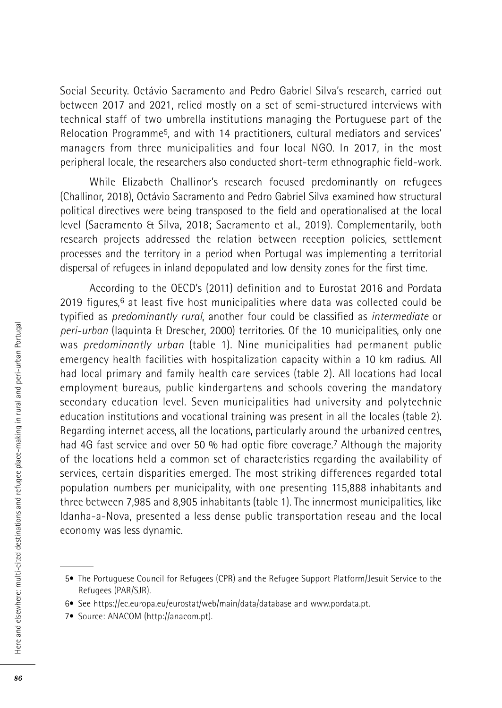Social Security. Octávio Sacramento and Pedro Gabriel Silva's research, carried out between 2017 and 2021, relied mostly on a set of semi-structured interviews with technical staff of two umbrella institutions managing the Portuguese part of the Relocation Programme5, and with 14 practitioners, cultural mediators and services' managers from three municipalities and four local NGO. In 2017, in the most peripheral locale, the researchers also conducted short-term ethnographic field-work.

While Elizabeth Challinor's research focused predominantly on refugees (Challinor, 2018), Octávio Sacramento and Pedro Gabriel Silva examined how structural political directives were being transposed to the field and operationalised at the local level (Sacramento & Silva, 2018; Sacramento et al., 2019). Complementarily, both research projects addressed the relation between reception policies, settlement processes and the territory in a period when Portugal was implementing a territorial dispersal of refugees in inland depopulated and low density zones for the first time.

According to the OECD's (2011) definition and to Eurostat 2016 and Pordata 2019 figures, 6 at least five host municipalities where data was collected could be typified as *predominantly rural*, another four could be classified as *intermediate* or *peri-urban* (Iaquinta & Drescher, 2000) territories. Of the 10 municipalities, only one was *predominantly urban* (table 1). Nine municipalities had permanent public emergency health facilities with hospitalization capacity within a 10 km radius. All had local primary and family health care services (table 2). All locations had local employment bureaus, public kindergartens and schools covering the mandatory secondary education level. Seven municipalities had university and polytechnic education institutions and vocational training was present in all the locales (table 2). Regarding internet access, all the locations, particularly around the urbanized centres, had 4G fast service and over 50 % had optic fibre coverage.<sup>7</sup> Although the majority of the locations held a common set of characteristics regarding the availability of services, certain disparities emerged. The most striking differences regarded total population numbers per municipality, with one presenting 115,888 inhabitants and three between 7,985 and 8,905 inhabitants (table 1). The innermost municipalities, like Idanha-a-Nova, presented a less dense public transportation reseau and the local economy was less dynamic.

 <sup>5•</sup> The Portuguese Council for Refugees (CPR) and the Refugee Support Platform/Jesuit Service to the Refugees (PAR/SJR).

 <sup>6•</sup> See https://ec.europa.eu/eurostat/web/main/data/database and www.pordata.pt.

 <sup>7•</sup> Source: ANACOM (http://anacom.pt).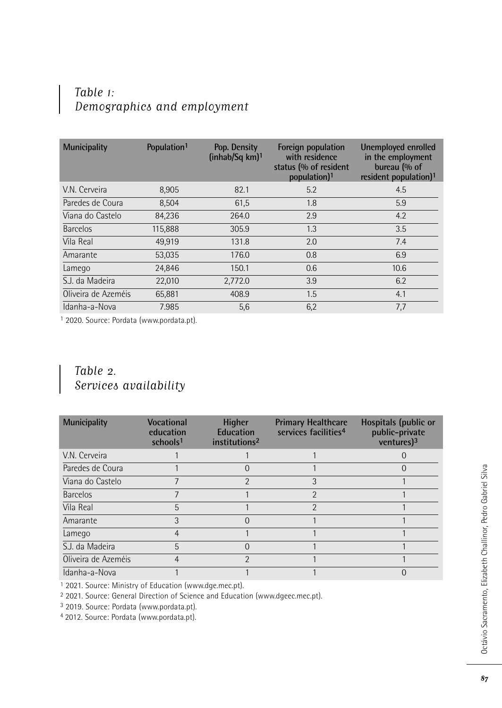### Table 1: Demographics and employment

| <b>Municipality</b> | Population <sup>1</sup> | Pop. Density<br>(inhab/Sq km) <sup>1</sup> | Foreign population<br>with residence<br>status (% of resident<br>population) <sup>1</sup> | Unemployed enrolled<br>in the employment<br>bureau (% of<br>resident population) <sup>1</sup> |
|---------------------|-------------------------|--------------------------------------------|-------------------------------------------------------------------------------------------|-----------------------------------------------------------------------------------------------|
| V.N. Cerveira       | 8,905                   | 82.1                                       | 5.2                                                                                       | 4.5                                                                                           |
| Paredes de Coura    | 8.504                   | 61,5                                       | 1.8                                                                                       | 5.9                                                                                           |
| Viana do Castelo    | 84.236                  | 264.0                                      | 2.9                                                                                       | 4.2                                                                                           |
| <b>Barcelos</b>     | 115,888                 | 305.9                                      | 1.3                                                                                       | 3.5                                                                                           |
| Vila Real           | 49.919                  | 131.8                                      | 2.0                                                                                       | 7.4                                                                                           |
| Amarante            | 53.035                  | 176.0                                      | 0.8                                                                                       | 6.9                                                                                           |
| Lamego              | 24,846                  | 150.1                                      | 0.6                                                                                       | 10.6                                                                                          |
| S.J. da Madeira     | 22.010                  | 2,772.0                                    | 3.9                                                                                       | 6.2                                                                                           |
| Oliveira de Azeméis | 65,881                  | 408.9                                      | 1.5                                                                                       | 4.1                                                                                           |
| Idanha-a-Nova       | 7.985                   | 5,6                                        | 6,2                                                                                       | 7,7                                                                                           |

1 2020. Source: Pordata (www.pordata.pt).

### Table 2. Services availability

| <b>Municipality</b> | Vocational<br>education<br>schools <sup>1</sup> | <b>Higher</b><br><b>Education</b><br>institutions <sup>2</sup> | <b>Primary Healthcare</b><br>services facilities <sup>4</sup> | Hospitals (public or<br>public-private<br>ventures $)^3$ |
|---------------------|-------------------------------------------------|----------------------------------------------------------------|---------------------------------------------------------------|----------------------------------------------------------|
| V.N. Cerveira       |                                                 |                                                                |                                                               |                                                          |
| Paredes de Coura    |                                                 |                                                                |                                                               |                                                          |
| Viana do Castelo    |                                                 |                                                                |                                                               |                                                          |
| <b>Barcelos</b>     |                                                 |                                                                | 2                                                             |                                                          |
| Vila Real           | 5                                               |                                                                | า                                                             |                                                          |
| Amarante            | 3                                               |                                                                |                                                               |                                                          |
| Lamego              |                                                 |                                                                |                                                               |                                                          |
| S.J. da Madeira     | 5                                               |                                                                |                                                               |                                                          |
| Oliveira de Azeméis |                                                 |                                                                |                                                               |                                                          |
| Idanha-a-Nova       |                                                 |                                                                |                                                               |                                                          |

1 2021. Source: Ministry of Education (www.dge.mec.pt).

2 2021. Source: General Direction of Science and Education (www.dgeec.mec.pt).

3 2019. Source: Pordata (www.pordata.pt).

4 2012. Source: Pordata (www.pordata.pt).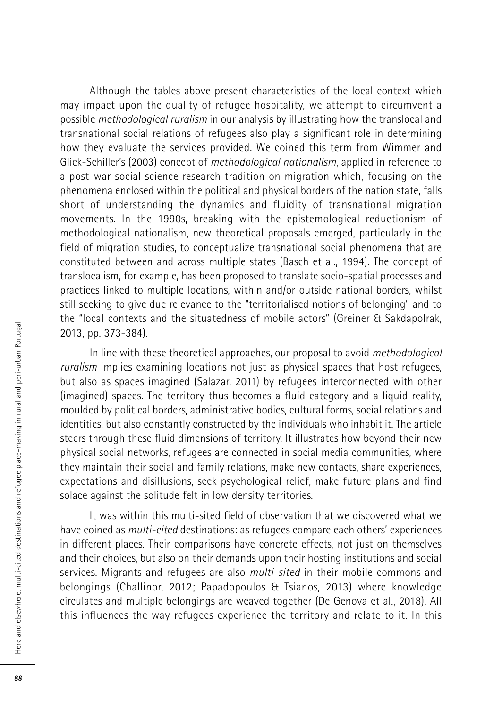Although the tables above present characteristics of the local context which may impact upon the quality of refugee hospitality, we attempt to circumvent a possible *methodological ruralism* in our analysis by illustrating how the translocal and transnational social relations of refugees also play a significant role in determining how they evaluate the services provided. We coined this term from Wimmer and Glick-Schiller's (2003) concept of *methodological nationalism*, applied in reference to a post-war social science research tradition on migration which, focusing on the phenomena enclosed within the political and physical borders of the nation state, falls short of understanding the dynamics and fluidity of transnational migration movements. In the 1990s, breaking with the epistemological reductionism of methodological nationalism, new theoretical proposals emerged, particularly in the field of migration studies, to conceptualize transnational social phenomena that are constituted between and across multiple states (Basch et al., 1994). The concept of translocalism, for example, has been proposed to translate socio-spatial processes and practices linked to multiple locations, within and/or outside national borders, whilst still seeking to give due relevance to the "territorialised notions of belonging" and to the "local contexts and the situatedness of mobile actors" (Greiner & Sakdapolrak, 2013, pp. 373-384).

In line with these theoretical approaches, our proposal to avoid *methodological ruralism* implies examining locations not just as physical spaces that host refugees, but also as spaces imagined (Salazar, 2011) by refugees interconnected with other (imagined) spaces. The territory thus becomes a fluid category and a liquid reality, moulded by political borders, administrative bodies, cultural forms, social relations and identities, but also constantly constructed by the individuals who inhabit it. The article steers through these fluid dimensions of territory. It illustrates how beyond their new physical social networks, refugees are connected in social media communities, where they maintain their social and family relations, make new contacts, share experiences, expectations and disillusions, seek psychological relief, make future plans and find solace against the solitude felt in low density territories.

It was within this multi-sited field of observation that we discovered what we have coined as *multi-cited* destinations: as refugees compare each others' experiences in different places. Their comparisons have concrete effects, not just on themselves and their choices, but also on their demands upon their hosting institutions and social services. Migrants and refugees are also *multi-sited* in their mobile commons and belongings (Challinor, 2012; Papadopoulos & Tsianos, 2013) where knowledge circulates and multiple belongings are weaved together (De Genova et al., 2018). All this influences the way refugees experience the territory and relate to it. In this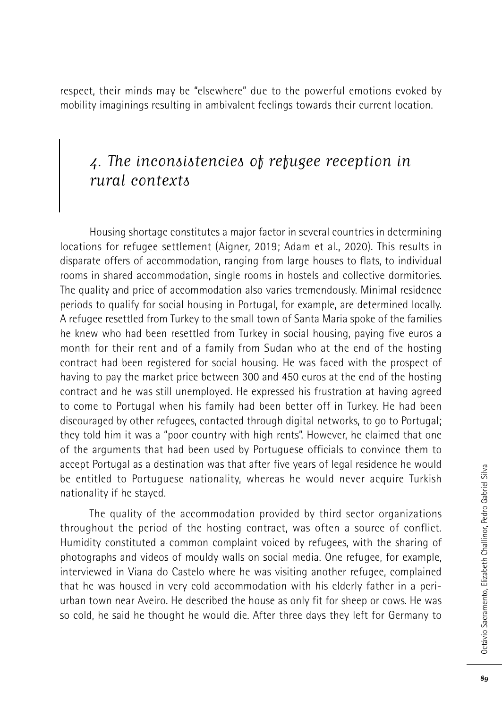respect, their minds may be "elsewhere" due to the powerful emotions evoked by mobility imaginings resulting in ambivalent feelings towards their current location.

### 4. The inconsistencies of refugee reception in rural contexts

Housing shortage constitutes a major factor in several countries in determining locations for refugee settlement (Aigner, 2019; Adam et al., 2020). This results in disparate offers of accommodation, ranging from large houses to flats, to individual rooms in shared accommodation, single rooms in hostels and collective dormitories. The quality and price of accommodation also varies tremendously. Minimal residence periods to qualify for social housing in Portugal, for example, are determined locally. A refugee resettled from Turkey to the small town of Santa Maria spoke of the families he knew who had been resettled from Turkey in social housing, paying five euros a month for their rent and of a family from Sudan who at the end of the hosting contract had been registered for social housing. He was faced with the prospect of having to pay the market price between 300 and 450 euros at the end of the hosting contract and he was still unemployed. He expressed his frustration at having agreed to come to Portugal when his family had been better off in Turkey. He had been discouraged by other refugees, contacted through digital networks, to go to Portugal; they told him it was a "poor country with high rents". However, he claimed that one of the arguments that had been used by Portuguese officials to convince them to accept Portugal as a destination was that after five years of legal residence he would be entitled to Portuguese nationality, whereas he would never acquire Turkish nationality if he stayed.

The quality of the accommodation provided by third sector organizations throughout the period of the hosting contract, was often a source of conflict. Humidity constituted a common complaint voiced by refugees, with the sharing of photographs and videos of mouldy walls on social media. One refugee, for example, interviewed in Viana do Castelo where he was visiting another refugee, complained that he was housed in very cold accommodation with his elderly father in a periurban town near Aveiro. He described the house as only fit for sheep or cows. He was so cold, he said he thought he would die. After three days they left for Germany to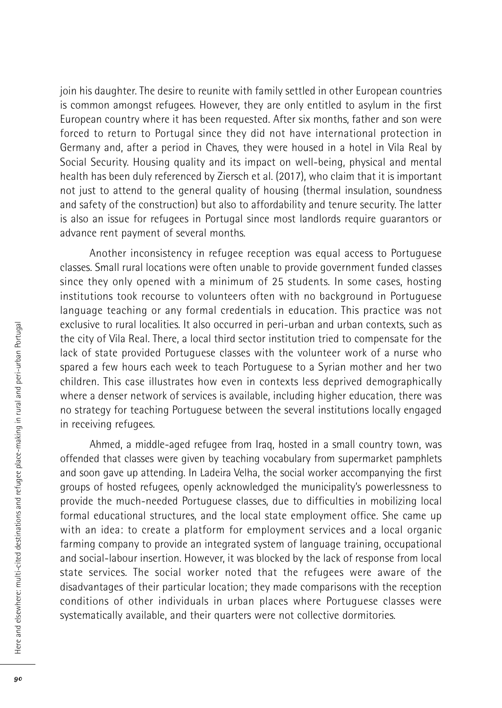join his daughter. The desire to reunite with family settled in other European countries is common amongst refugees. However, they are only entitled to asylum in the first European country where it has been requested. After six months, father and son were forced to return to Portugal since they did not have international protection in Germany and, after a period in Chaves, they were housed in a hotel in Vila Real by Social Security. Housing quality and its impact on well-being, physical and mental health has been duly referenced by Ziersch et al. (2017), who claim that it is important not just to attend to the general quality of housing (thermal insulation, soundness and safety of the construction) but also to affordability and tenure security. The latter is also an issue for refugees in Portugal since most landlords require guarantors or advance rent payment of several months.

Another inconsistency in refugee reception was equal access to Portuguese classes. Small rural locations were often unable to provide government funded classes since they only opened with a minimum of 25 students. In some cases, hosting institutions took recourse to volunteers often with no background in Portuguese language teaching or any formal credentials in education. This practice was not exclusive to rural localities. It also occurred in peri-urban and urban contexts, such as the city of Vila Real. There, a local third sector institution tried to compensate for the lack of state provided Portuguese classes with the volunteer work of a nurse who spared a few hours each week to teach Portuguese to a Syrian mother and her two children. This case illustrates how even in contexts less deprived demographically where a denser network of services is available, including higher education, there was no strategy for teaching Portuguese between the several institutions locally engaged in receiving refugees.

Ahmed, a middle-aged refugee from Iraq, hosted in a small country town, was offended that classes were given by teaching vocabulary from supermarket pamphlets and soon gave up attending. In Ladeira Velha, the social worker accompanying the first groups of hosted refugees, openly acknowledged the municipality's powerlessness to provide the much-needed Portuguese classes, due to difficulties in mobilizing local formal educational structures, and the local state employment office. She came up with an idea: to create a platform for employment services and a local organic farming company to provide an integrated system of language training, occupational and social-labour insertion. However, it was blocked by the lack of response from local state services. The social worker noted that the refugees were aware of the disadvantages of their particular location; they made comparisons with the reception conditions of other individuals in urban places where Portuguese classes were systematically available, and their quarters were not collective dormitories.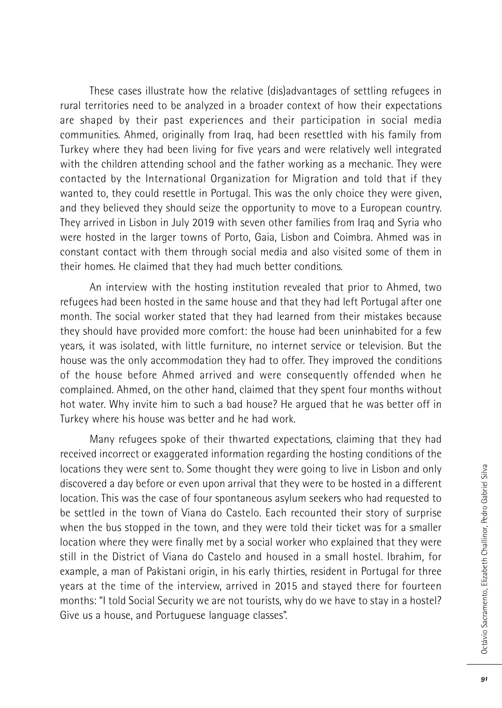These cases illustrate how the relative (dis)advantages of settling refugees in rural territories need to be analyzed in a broader context of how their expectations are shaped by their past experiences and their participation in social media communities. Ahmed, originally from Iraq, had been resettled with his family from Turkey where they had been living for five years and were relatively well integrated with the children attending school and the father working as a mechanic. They were contacted by the International Organization for Migration and told that if they wanted to, they could resettle in Portugal. This was the only choice they were given, and they believed they should seize the opportunity to move to a European country. They arrived in Lisbon in July 2019 with seven other families from Iraq and Syria who were hosted in the larger towns of Porto, Gaia, Lisbon and Coimbra. Ahmed was in constant contact with them through social media and also visited some of them in their homes. He claimed that they had much better conditions.

An interview with the hosting institution revealed that prior to Ahmed, two refugees had been hosted in the same house and that they had left Portugal after one month. The social worker stated that they had learned from their mistakes because they should have provided more comfort: the house had been uninhabited for a few years, it was isolated, with little furniture, no internet service or television. But the house was the only accommodation they had to offer. They improved the conditions of the house before Ahmed arrived and were consequently offended when he complained. Ahmed, on the other hand, claimed that they spent four months without hot water. Why invite him to such a bad house? He argued that he was better off in Turkey where his house was better and he had work.

Many refugees spoke of their thwarted expectations, claiming that they had received incorrect or exaggerated information regarding the hosting conditions of the locations they were sent to. Some thought they were going to live in Lisbon and only discovered a day before or even upon arrival that they were to be hosted in a different location. This was the case of four spontaneous asylum seekers who had requested to be settled in the town of Viana do Castelo. Each recounted their story of surprise when the bus stopped in the town, and they were told their ticket was for a smaller location where they were finally met by a social worker who explained that they were still in the District of Viana do Castelo and housed in a small hostel. Ibrahim, for example, a man of Pakistani origin, in his early thirties, resident in Portugal for three years at the time of the interview, arrived in 2015 and stayed there for fourteen months: "I told Social Security we are not tourists, why do we have to stay in a hostel? Give us a house, and Portuguese language classes".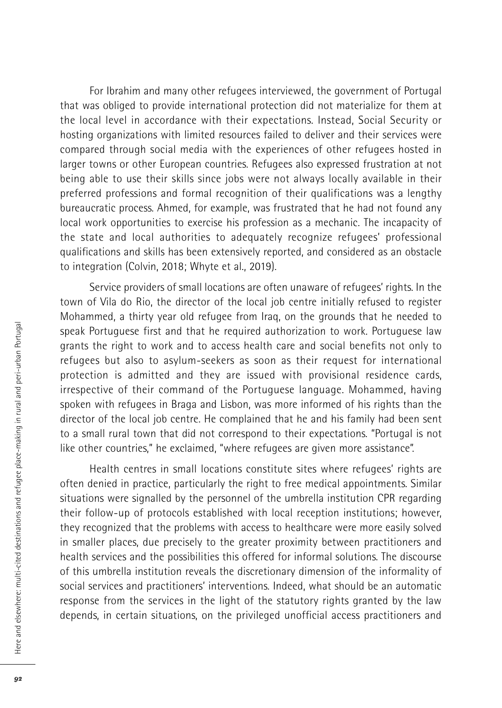For Ibrahim and many other refugees interviewed, the government of Portugal that was obliged to provide international protection did not materialize for them at the local level in accordance with their expectations. Instead, Social Security or hosting organizations with limited resources failed to deliver and their services were compared through social media with the experiences of other refugees hosted in larger towns or other European countries. Refugees also expressed frustration at not being able to use their skills since jobs were not always locally available in their preferred professions and formal recognition of their qualifications was a lengthy bureaucratic process. Ahmed, for example, was frustrated that he had not found any local work opportunities to exercise his profession as a mechanic. The incapacity of the state and local authorities to adequately recognize refugees' professional qualifications and skills has been extensively reported, and considered as an obstacle to integration (Colvin, 2018; Whyte et al., 2019).

Service providers of small locations are often unaware of refugees' rights. In the town of Vila do Rio, the director of the local job centre initially refused to register Mohammed, a thirty year old refugee from Iraq, on the grounds that he needed to speak Portuguese first and that he required authorization to work. Portuguese law grants the right to work and to access health care and social benefits not only to refugees but also to asylum-seekers as soon as their request for international protection is admitted and they are issued with provisional residence cards, irrespective of their command of the Portuguese language. Mohammed, having spoken with refugees in Braga and Lisbon, was more informed of his rights than the director of the local job centre. He complained that he and his family had been sent to a small rural town that did not correspond to their expectations. "Portugal is not like other countries," he exclaimed, "where refugees are given more assistance".

Health centres in small locations constitute sites where refugees' rights are often denied in practice, particularly the right to free medical appointments. Similar situations were signalled by the personnel of the umbrella institution CPR regarding their follow-up of protocols established with local reception institutions; however, they recognized that the problems with access to healthcare were more easily solved in smaller places, due precisely to the greater proximity between practitioners and health services and the possibilities this offered for informal solutions. The discourse of this umbrella institution reveals the discretionary dimension of the informality of social services and practitioners' interventions. Indeed, what should be an automatic response from the services in the light of the statutory rights granted by the law depends, in certain situations, on the privileged unofficial access practitioners and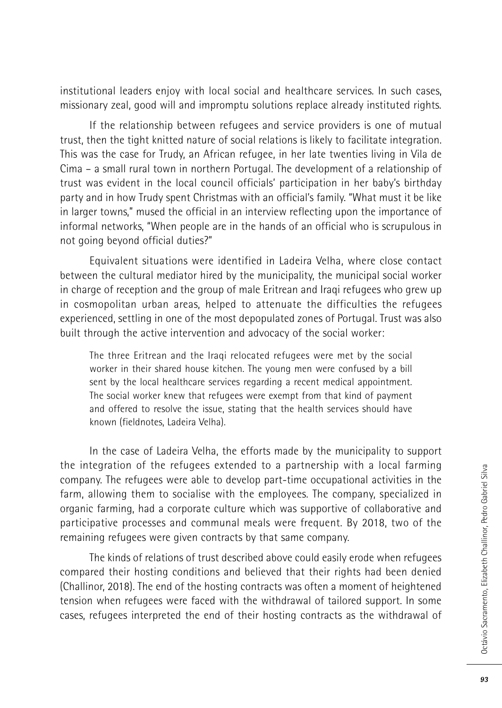institutional leaders enjoy with local social and healthcare services. In such cases, missionary zeal, good will and impromptu solutions replace already instituted rights.

If the relationship between refugees and service providers is one of mutual trust, then the tight knitted nature of social relations is likely to facilitate integration. This was the case for Trudy, an African refugee, in her late twenties living in Vila de Cima – a small rural town in northern Portugal. The development of a relationship of trust was evident in the local council officials' participation in her baby's birthday party and in how Trudy spent Christmas with an official's family. "What must it be like in larger towns," mused the official in an interview reflecting upon the importance of informal networks, "When people are in the hands of an official who is scrupulous in not going beyond official duties?"

Equivalent situations were identified in Ladeira Velha, where close contact between the cultural mediator hired by the municipality, the municipal social worker in charge of reception and the group of male Eritrean and Iraqi refugees who grew up in cosmopolitan urban areas, helped to attenuate the difficulties the refugees experienced, settling in one of the most depopulated zones of Portugal. Trust was also built through the active intervention and advocacy of the social worker:

The three Eritrean and the Iraqi relocated refugees were met by the social worker in their shared house kitchen. The young men were confused by a bill sent by the local healthcare services regarding a recent medical appointment. The social worker knew that refugees were exempt from that kind of payment and offered to resolve the issue, stating that the health services should have known (fieldnotes, Ladeira Velha).

In the case of Ladeira Velha, the efforts made by the municipality to support the integration of the refugees extended to a partnership with a local farming company. The refugees were able to develop part-time occupational activities in the farm, allowing them to socialise with the employees. The company, specialized in organic farming, had a corporate culture which was supportive of collaborative and participative processes and communal meals were frequent. By 2018, two of the remaining refugees were given contracts by that same company.

The kinds of relations of trust described above could easily erode when refugees compared their hosting conditions and believed that their rights had been denied (Challinor, 2018). The end of the hosting contracts was often a moment of heightened tension when refugees were faced with the withdrawal of tailored support. In some cases, refugees interpreted the end of their hosting contracts as the withdrawal of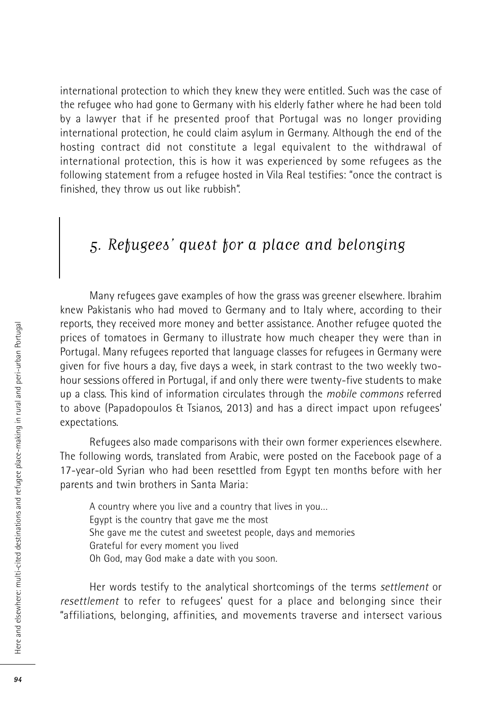international protection to which they knew they were entitled. Such was the case of the refugee who had gone to Germany with his elderly father where he had been told by a lawyer that if he presented proof that Portugal was no longer providing international protection, he could claim asylum in Germany. Although the end of the hosting contract did not constitute a legal equivalent to the withdrawal of international protection, this is how it was experienced by some refugees as the following statement from a refugee hosted in Vila Real testifies: "once the contract is finished, they throw us out like rubbish".

### 5. Refugees' quest for a place and belonging

Many refugees gave examples of how the grass was greener elsewhere. Ibrahim knew Pakistanis who had moved to Germany and to Italy where, according to their reports, they received more money and better assistance. Another refugee quoted the prices of tomatoes in Germany to illustrate how much cheaper they were than in Portugal. Many refugees reported that language classes for refugees in Germany were given for five hours a day, five days a week, in stark contrast to the two weekly twohour sessions offered in Portugal, if and only there were twenty-five students to make up a class. This kind of information circulates through the *mobile commons* referred to above (Papadopoulos & Tsianos, 2013) and has a direct impact upon refugees' expectations.

Refugees also made comparisons with their own former experiences elsewhere. The following words, translated from Arabic, were posted on the Facebook page of a 17-year-old Syrian who had been resettled from Egypt ten months before with her parents and twin brothers in Santa Maria:

A country where you live and a country that lives in you… Egypt is the country that gave me the most She gave me the cutest and sweetest people, days and memories Grateful for every moment you lived Oh God, may God make a date with you soon.

Her words testify to the analytical shortcomings of the terms *settlement* or *resettlement* to refer to refugees' quest for a place and belonging since their "affiliations, belonging, affinities, and movements traverse and intersect various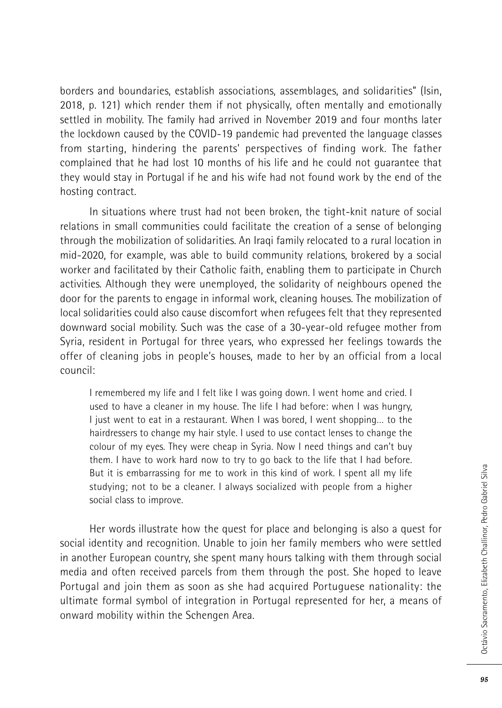borders and boundaries, establish associations, assemblages, and solidarities" (Isin, 2018, p. 121) which render them if not physically, often mentally and emotionally settled in mobility. The family had arrived in November 2019 and four months later the lockdown caused by the COVID-19 pandemic had prevented the language classes from starting, hindering the parents' perspectives of finding work. The father complained that he had lost 10 months of his life and he could not guarantee that they would stay in Portugal if he and his wife had not found work by the end of the hosting contract.

In situations where trust had not been broken, the tight-knit nature of social relations in small communities could facilitate the creation of a sense of belonging through the mobilization of solidarities. An Iraqi family relocated to a rural location in mid-2020, for example, was able to build community relations, brokered by a social worker and facilitated by their Catholic faith, enabling them to participate in Church activities. Although they were unemployed, the solidarity of neighbours opened the door for the parents to engage in informal work, cleaning houses. The mobilization of local solidarities could also cause discomfort when refugees felt that they represented downward social mobility. Such was the case of a 30-year-old refugee mother from Syria, resident in Portugal for three years, who expressed her feelings towards the offer of cleaning jobs in people's houses, made to her by an official from a local council:

I remembered my life and I felt like I was going down. I went home and cried. I used to have a cleaner in my house. The life I had before: when I was hungry, I just went to eat in a restaurant. When I was bored, I went shopping… to the hairdressers to change my hair style. I used to use contact lenses to change the colour of my eyes. They were cheap in Syria. Now I need things and can't buy them. I have to work hard now to try to go back to the life that I had before. But it is embarrassing for me to work in this kind of work. I spent all my life studying; not to be a cleaner. I always socialized with people from a higher social class to improve.

Her words illustrate how the quest for place and belonging is also a quest for social identity and recognition. Unable to join her family members who were settled in another European country, she spent many hours talking with them through social media and often received parcels from them through the post. She hoped to leave Portugal and join them as soon as she had acquired Portuguese nationality: the ultimate formal symbol of integration in Portugal represented for her, a means of onward mobility within the Schengen Area.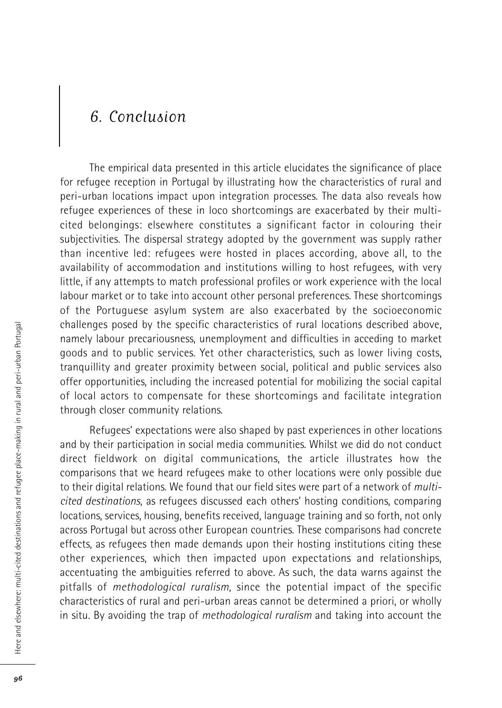### 6. Conclusion

The empirical data presented in this article elucidates the significance of place for refugee reception in Portugal by illustrating how the characteristics of rural and peri-urban locations impact upon integration processes. The data also reveals how refugee experiences of these in loco shortcomings are exacerbated by their multicited belongings: elsewhere constitutes a significant factor in colouring their subjectivities. The dispersal strategy adopted by the government was supply rather than incentive led: refugees were hosted in places according, above all, to the availability of accommodation and institutions willing to host refugees, with very little, if any attempts to match professional profiles or work experience with the local labour market or to take into account other personal preferences. These shortcomings of the Portuguese asylum system are also exacerbated by the socioeconomic challenges posed by the specific characteristics of rural locations described above, namely labour precariousness, unemployment and difficulties in acceding to market goods and to public services. Yet other characteristics, such as lower living costs, tranquillity and greater proximity between social, political and public services also offer opportunities, including the increased potential for mobilizing the social capital of local actors to compensate for these shortcomings and facilitate integration through closer community relations.

Refugees' expectations were also shaped by past experiences in other locations and by their participation in social media communities. Whilst we did do not conduct direct fieldwork on digital communications, the article illustrates how the comparisons that we heard refugees make to other locations were only possible due to their digital relations. We found that our field sites were part of a network of *multicited destinations*, as refugees discussed each others' hosting conditions, comparing locations, services, housing, benefits received, language training and so forth, not only across Portugal but across other European countries. These comparisons had concrete effects, as refugees then made demands upon their hosting institutions citing these other experiences, which then impacted upon expectations and relationships, accentuating the ambiguities referred to above. As such, the data warns against the pitfalls of *methodological ruralism*, since the potential impact of the specific characteristics of rural and peri-urban areas cannot be determined a priori, or wholly in situ. By avoiding the trap of *methodological ruralism* and taking into account the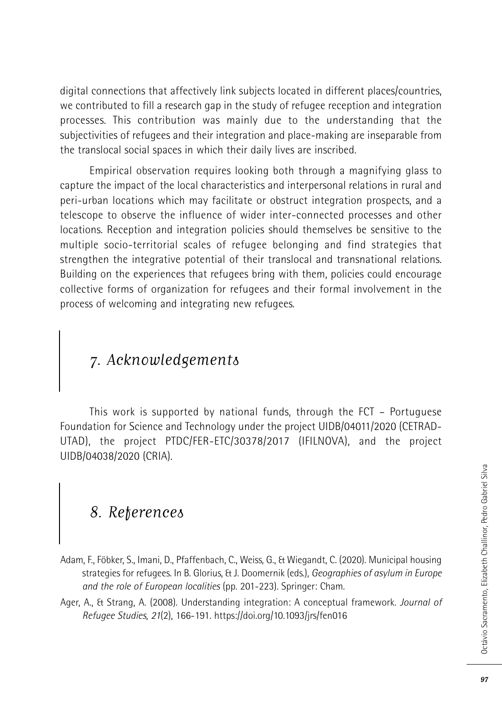digital connections that affectively link subjects located in different places/countries, we contributed to fill a research gap in the study of refugee reception and integration processes. This contribution was mainly due to the understanding that the subjectivities of refugees and their integration and place-making are inseparable from the translocal social spaces in which their daily lives are inscribed.

Empirical observation requires looking both through a magnifying glass to capture the impact of the local characteristics and interpersonal relations in rural and peri-urban locations which may facilitate or obstruct integration prospects, and a telescope to observe the influence of wider inter-connected processes and other locations. Reception and integration policies should themselves be sensitive to the multiple socio-territorial scales of refugee belonging and find strategies that strengthen the integrative potential of their translocal and transnational relations. Building on the experiences that refugees bring with them, policies could encourage collective forms of organization for refugees and their formal involvement in the process of welcoming and integrating new refugees.

# 7. Acknowledgements

This work is supported by national funds, through the FCT – Portuguese Foundation for Science and Technology under the project UIDB/04011/2020 (CETRAD-UTAD), the project PTDC/FER-ETC/30378/2017 (IFILNOVA), and the project UIDB/04038/2020 (CRIA).

## 8. References

- Adam, F., Föbker, S., Imani, D., Pfaffenbach, C., Weiss, G., & Wiegandt, C. (2020). Municipal housing strategies for refugees. In B. Glorius, & J. Doomernik (eds.), *Geographies of asylum in Europe and the role of European localities* (pp. 201-223). Springer: Cham.
- Ager, A., & Strang, A. (2008). Understanding integration: A conceptual framework. *Journal of Refugee Studies*, *21*(2), 166-191. https://doi.org/10.1093/jrs/fen016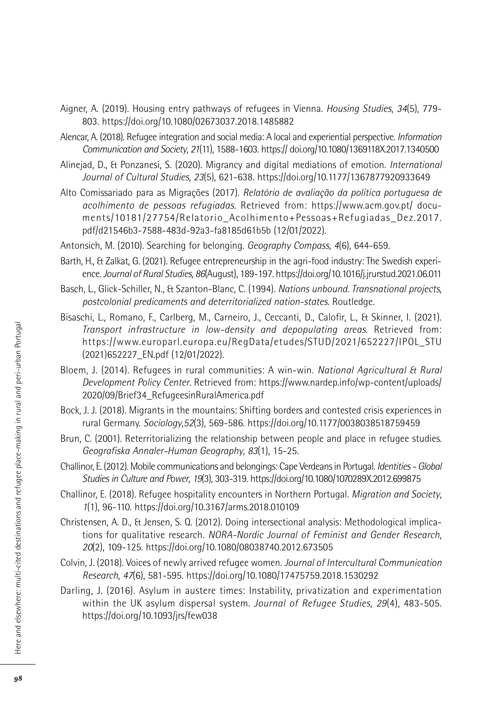- Aigner, A. (2019). Housing entry pathways of refugees in Vienna. *Housing Studies*, *34*(5), 779- 803. https://doi.org/10.1080/02673037.2018.1485882
- Alencar, A. (2018). Refugee integration and social media: A local and experiential perspective. *Information Communication and Society*, *21*(11), 1588-1603. https:// doi.org/10.1080/1369118X.2017.1340500
- Alinejad, D., & Ponzanesi, S. (2020). Migrancy and digital mediations of emotion. *International Journal of Cultural Studies*, *23*(5), 621-638. https://doi.org/10.1177/1367877920933649
- Alto Comissariado para as Migrações (2017). *Relatório de avaliação da política portuguesa de acolhimento de pessoas refugiadas*. Retrieved from: https://www.acm.gov.pt/ documents/10181/27754/Relatorio\_Acolhimento+Pessoas+Refugiadas\_Dez.2017. pdf/d21546b3-7588-483d-92a3-fa8185d61b5b (12/01/2022).
- Antonsich, M. (2010). Searching for belonging. *Geography Compass*, *4*(6), 644-659.
- Barth, H., & Zalkat, G. (2021). Refugee entrepreneurship in the agri-food industry: The Swedish experience.*Journal of Rural Studies*, *86*(August), 189-197. https://doi.org/10.1016/j.jrurstud.2021.06.011
- Basch, L., Glick-Schiller, N., & Szanton-Blanc, C. (1994). *Nations unbound. Transnational projects, postcolonial predicaments and deterritorialized nation-states*. Routledge.
- Bisaschi, L., Romano, F., Carlberg, M., Carneiro, J., Ceccanti, D., Calofir, L., & Skinner, I. (2021). *Transport infrastructure in low-density and depopulating areas*. Retrieved from: https://www.europarl.europa.eu/RegData/etudes/STUD/2021/652227/IPOL\_STU (2021)652227\_EN.pdf (12/01/2022).
- Bloem, J. (2014). Refugees in rural communities: A win-win. *National Agricultural & Rural Development Policy Center*. Retrieved from: https://www.nardep.info/wp-content/uploads/ 2020/09/Brief34\_RefugeesinRuralAmerica.pdf
- Bock, J. J. (2018). Migrants in the mountains: Shifting borders and contested crisis experiences in rural Germany. *Sociology*,*52*(3), 569-586. https://doi.org/10.1177/0038038518759459
- Brun, C. (2001). Reterritorializing the relationship between people and place in refugee studies. *Geografiska Annaler-Human Geography*, *83*(1), 15-25.
- Challinor, E. (2012). Mobile communications and belongings: Cape Verdeansin Portugal. *Identities- Global Studies in Culture and Power*, *19*(3), 303-319. https://doi.org/10.1080/1070289X.2012.699875
- Challinor, E. (2018). Refugee hospitality encounters in Northern Portugal. *Migration and Society*, *1*(1), 96-110. https://doi.org/10.3167/arms.2018.010109
- Christensen, A. D., & Jensen, S. Q. (2012). Doing intersectional analysis: Methodological implications for qualitative research. *NORA-Nordic Journal of Feminist and Gender Research*, *20*(2), 109-125. https://doi.org/10.1080/08038740.2012.673505
- Colvin, J. (2018). Voices of newly arrived refugee women. *Journal of Intercultural Communication Research*, *47*(6), 581-595. https://doi.org/10.1080/17475759.2018.1530292
- Darling, J. (2016). Asylum in austere times: Instability, privatization and experimentation within the UK asylum dispersal system. *Journal of Refugee Studies*, *29*(4), 483-505. https://doi.org/10.1093/jrs/few038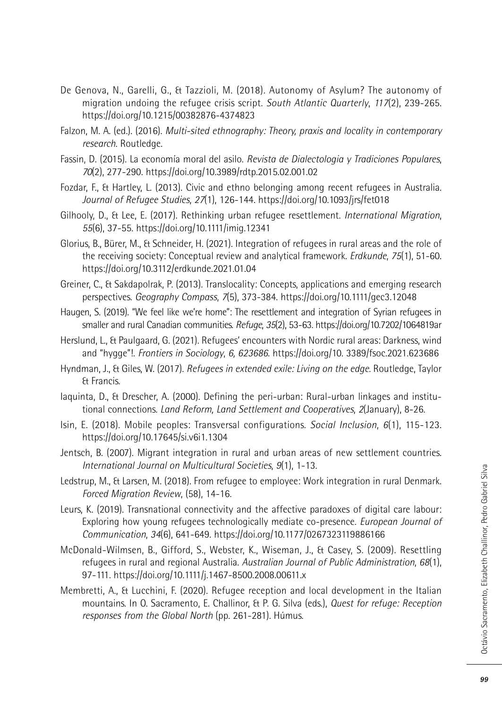- De Genova, N., Garelli, G., & Tazzioli, M. (2018). Autonomy of Asylum? The autonomy of migration undoing the refugee crisis script. *South Atlantic Quarterly*, *117*(2), 239-265. https://doi.org/10.1215/00382876-4374823
- Falzon, M. A. (ed.). (2016). *Multi-sited ethnography: Theory, praxis and locality in contemporary research.* Routledge.
- Fassin, D. (2015). La economía moral del asilo. *Revista de Dialectologia y Tradiciones Populares*, *70*(2), 277-290. https://doi.org/10.3989/rdtp.2015.02.001.02
- Fozdar, F., & Hartley, L. (2013). Civic and ethno belonging among recent refugees in Australia. *Journal of Refugee Studies*, *27*(1), 126-144. https://doi.org/10.1093/jrs/fet018
- Gilhooly, D., & Lee, E. (2017). Rethinking urban refugee resettlement. *International Migration*, *55*(6), 37-55. https://doi.org/10.1111/imig.12341
- Glorius, B., Bürer, M., & Schneider, H. (2021). Integration of refugees in rural areas and the role of the receiving society: Conceptual review and analytical framework. *Erdkunde*, *75*(1), 51-60. https://doi.org/10.3112/erdkunde.2021.01.04
- Greiner, C., & Sakdapolrak, P. (2013). Translocality: Concepts, applications and emerging research perspectives. *Geography Compass*, *7*(5), 373-384. https://doi.org/10.1111/gec3.12048
- Haugen, S. (2019). "We feel like we're home": The resettlement and integration of Syrian refugees in smaller and rural Canadian communities. *Refuge*, *35*(2), 53-63. https://doi.org/10.7202/1064819ar
- Herslund, L., & Paulgaard, G. (2021). Refugees' encounters with Nordic rural areas: Darkness, wind and "hygge"!. *Frontiers in Sociology*, *6, 623686*. https://doi.org/10. 3389/fsoc.2021.623686
- Hyndman, J., & Giles, W. (2017). *Refugees in extended exile: Living on the edge*. Routledge, Taylor & Francis.
- Iaquinta, D., & Drescher, A. (2000). Defining the peri-urban: Rural-urban linkages and institutional connections. *Land Reform, Land Settlement and Cooperatives*, *2*(January), 8-26.
- Isin, E. (2018). Mobile peoples: Transversal configurations. *Social Inclusion*, *6*(1), 115-123. https://doi.org/10.17645/si.v6i1.1304
- Jentsch, B. (2007). Migrant integration in rural and urban areas of new settlement countries. *International Journal on Multicultural Societies*, *9*(1), 1-13.
- Ledstrup, M., & Larsen, M. (2018). From refugee to employee: Work integration in rural Denmark. *Forced Migration Review*, (58), 14-16.
- Leurs, K. (2019). Transnational connectivity and the affective paradoxes of digital care labour: Exploring how young refugees technologically mediate co-presence. *European Journal of Communication*, *34*(6), 641-649. https://doi.org/10.1177/0267323119886166
- McDonald-Wilmsen, B., Gifford, S., Webster, K., Wiseman, J., & Casey, S. (2009). Resettling refugees in rural and regional Australia. *Australian Journal of Public Administration*, *68*(1), 97-111. https://doi.org/10.1111/j.1467-8500.2008.00611.x
- Membretti, A., & Lucchini, F. (2020). Refugee reception and local development in the Italian mountains. In O. Sacramento, E. Challinor, & P. G. Silva (eds.), *Quest for refuge: Reception responses from the Global North* (pp. 261-281). Húmus.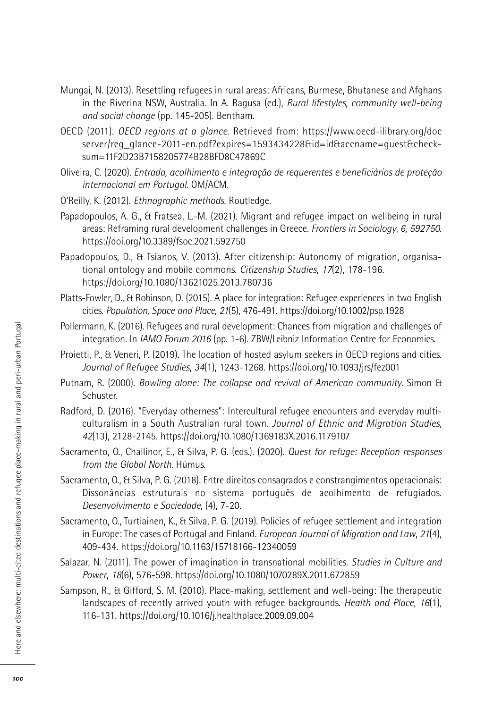- Mungai, N. (2013). Resettling refugees in rural areas: Africans, Burmese, Bhutanese and Afghans in the Riverina NSW, Australia. In A. Ragusa (ed.), *Rural lifestyles, community well-being and social change* (pp. 145-205). Bentham.
- OECD (2011). *OECD regions at a glance*. Retrieved from: https://www.oecd-ilibrary.org/doc server/reg\_glance-2011-en.pdf?expires=1593434228&id=id&accname=guest&checksum=11F2D23B7158205774B28BFD8C47869C
- Oliveira, C. (2020). *Entrada, acolhimento e integração de requerentes e beneficiários de proteção internacional em Portugal*. OM/ACM.
- O'Reilly, K. (2012). *Ethnographic methods*. Routledge.
- Papadopoulos, A. G., & Fratsea, L.-M. (2021). Migrant and refugee impact on wellbeing in rural areas: Reframing rural development challenges in Greece. *Frontiers in Sociology*, *6, 592750*. https://doi.org/10.3389/fsoc.2021.592750
- Papadopoulos, D., & Tsianos, V. (2013). After citizenship: Autonomy of migration, organisational ontology and mobile commons. *Citizenship Studies*, *17*(2), 178-196. https://doi.org/10.1080/13621025.2013.780736
- Platts-Fowler, D., & Robinson, D. (2015). A place for integration: Refugee experiences in two English cities. *Population, Space and Place*, *21*(5), 476-491. https://doi.org/10.1002/psp.1928
- Pollermann, K. (2016). Refugees and rural development: Chances from migration and challenges of integration. In *IAMO Forum 2016* (pp. 1-6). ZBW/Leibniz Information Centre for Economics.
- Proietti, P., & Veneri, P. (2019). The location of hosted asylum seekers in OECD regions and cities. *Journal of Refugee Studies*, *34*(1), 1243-1268. https://doi.org/10.1093/jrs/fez001
- Putnam, R. (2000). *Bowling alone: The collapse and revival of American community*. Simon & Schuster.
- Radford, D. (2016). "Everyday otherness": Intercultural refugee encounters and everyday multiculturalism in a South Australian rural town. *Journal of Ethnic and Migration Studies*, *42*(13), 2128-2145. https://doi.org/10.1080/1369183X.2016.1179107
- Sacramento, O., Challinor, E., & Silva, P. G. (eds.). (2020). *Quest for refuge: Reception responses from the Global North*. Húmus.
- Sacramento, O., & Silva, P. G. (2018). Entre direitos consagrados e constrangimentos operacionais: Dissonâncias estruturais no sistema português de acolhimento de refugiados. *Desenvolvimento e Sociedade*, (4), 7-20.
- Sacramento, O., Turtiainen, K., & Silva, P. G. (2019). Policies of refugee settlement and integration in Europe: The cases of Portugal and Finland. *European Journal of Migration and Law*, *21*(4), 409-434. https://doi.org/10.1163/15718166-12340059
- Salazar, N. (2011). The power of imagination in transnational mobilities. *Studies in Culture and Power*, *18*(6), 576-598. https://doi.org/10.1080/1070289X.2011.672859
- Sampson, R., & Gifford, S. M. (2010). Place-making, settlement and well-being: The therapeutic landscapes of recently arrived youth with refugee backgrounds. *Health and Place*, *16*(1), 116-131. https://doi.org/10.1016/j.healthplace.2009.09.004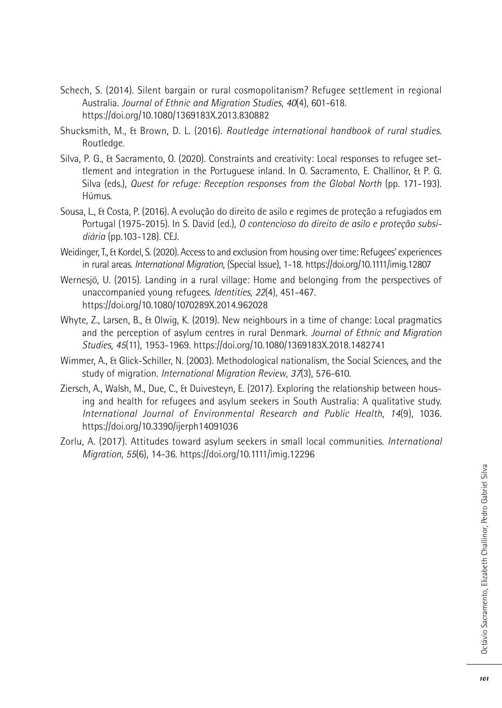- Schech, S. (2014). Silent bargain or rural cosmopolitanism? Refugee settlement in regional Australia. *Journal of Ethnic and Migration Studies*, *40*(4), 601-618. https://doi.org/10.1080/1369183X.2013.830882
- Shucksmith, M., & Brown, D. L. (2016). *Routledge international handbook of rural studies*. Routledge.
- Silva, P. G., & Sacramento, O. (2020). Constraints and creativity: Local responses to refugee settlement and integration in the Portuguese inland. In O. Sacramento, E. Challinor, & P. G. Silva (eds.), *Quest for refuge: Reception responses from the Global North* (pp. 171-193). Húmus.
- Sousa, L., & Costa, P. (2016). A evolução do direito de asilo e regimes de proteção a refugiados em Portugal (1975-2015). In S. David (ed.), *O contencioso do direito de asilo e proteção subsidiária* (pp.103-128). CEJ.
- Weidinger,T., & Kordel, S. (2020). Accessto and exclusion from housing over time: Refugees' experiences in rural areas. *International Migration*, (Special Issue), 1-18. https://doi.org/10.1111/imig.12807
- Wernesjö, U. (2015). Landing in a rural village: Home and belonging from the perspectives of unaccompanied young refugees. *Identities*, *22*(4), 451-467. https://doi.org/10.1080/1070289X.2014.962028
- Whyte, Z., Larsen, B., & Olwig, K. (2019). New neighbours in a time of change: Local pragmatics and the perception of asylum centres in rural Denmark. *Journal of Ethnic and Migration Studies*, *45*(11), 1953-1969. https://doi.org/10.1080/1369183X.2018.1482741
- Wimmer, A., & Glick-Schiller, N. (2003). Methodological nationalism, the Social Sciences, and the study of migration. *International Migration Review*, *37*(3), 576-610.
- Ziersch, A., Walsh, M., Due, C., & Duivesteyn, E. (2017). Exploring the relationship between housing and health for refugees and asylum seekers in South Australia: A qualitative study. *International Journal of Environmental Research and Public Health*, *14*(9), 1036. https://doi.org/10.3390/ijerph14091036
- Zorlu, A. (2017). Attitudes toward asylum seekers in small local communities. *International Migration*, *55*(6), 14-36. https://doi.org/10.1111/imig.12296